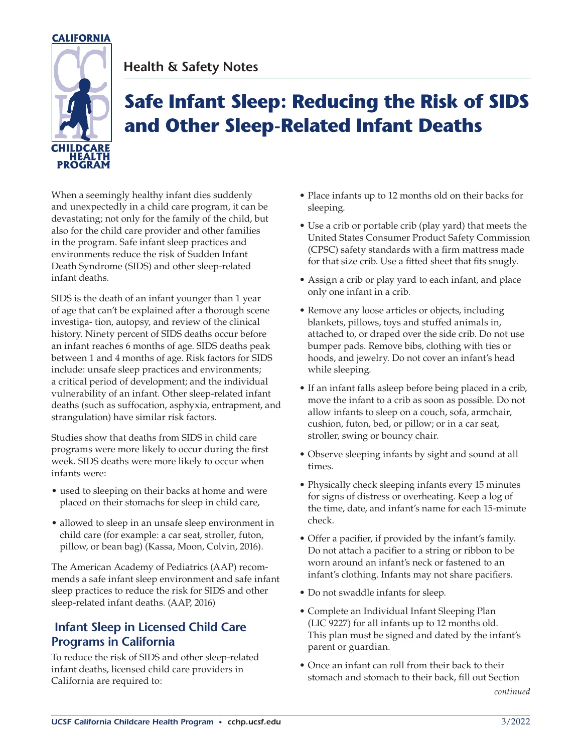

# **Health & Safety Notes**

# **Safe Infant Sleep: Reducing the Risk of SIDS and Other Sleep-Related Infant Deaths**

When a seemingly healthy infant dies suddenly and unexpectedly in a child care program, it can be devastating; not only for the family of the child, but also for the child care provider and other families in the program. Safe infant sleep practices and environments reduce the risk of Sudden Infant Death Syndrome (SIDS) and other sleep-related infant deaths.

SIDS is the death of an infant younger than 1 year of age that can't be explained after a thorough scene investiga- tion, autopsy, and review of the clinical history. Ninety percent of SIDS deaths occur before an infant reaches 6 months of age. SIDS deaths peak between 1 and 4 months of age. Risk factors for SIDS include: unsafe sleep practices and environments; a critical period of development; and the individual vulnerability of an infant. Other sleep-related infant deaths (such as suffocation, asphyxia, entrapment, and strangulation) have similar risk factors.

Studies show that deaths from SIDS in child care programs were more likely to occur during the first week. SIDS deaths were more likely to occur when infants were:

- used to sleeping on their backs at home and were placed on their stomachs for sleep in child care,
- allowed to sleep in an unsafe sleep environment in child care (for example: a car seat, stroller, futon, pillow, or bean bag) (Kassa, Moon, Colvin, 2016).

The American Academy of Pediatrics (AAP) recommends a safe infant sleep environment and safe infant sleep practices to reduce the risk for SIDS and other sleep-related infant deaths. (AAP, 2016)

### **Infant Sleep in Licensed Child Care Programs in California**

To reduce the risk of SIDS and other sleep-related infant deaths, licensed child care providers in California are required to:

- Place infants up to 12 months old on their backs for sleeping.
- Use a crib or portable crib (play yard) that meets the United States Consumer Product Safety Commission (CPSC) safety standards with a firm mattress made for that size crib. Use a fitted sheet that fits snugly.
- Assign a crib or play yard to each infant, and place only one infant in a crib.
- Remove any loose articles or objects, including blankets, pillows, toys and stuffed animals in, attached to, or draped over the side crib. Do not use bumper pads. Remove bibs, clothing with ties or hoods, and jewelry. Do not cover an infant's head while sleeping.
- If an infant falls asleep before being placed in a crib, move the infant to a crib as soon as possible. Do not allow infants to sleep on a couch, sofa, armchair, cushion, futon, bed, or pillow; or in a car seat, stroller, swing or bouncy chair.
- Observe sleeping infants by sight and sound at all times.
- Physically check sleeping infants every 15 minutes for signs of distress or overheating. Keep a log of the time, date, and infant's name for each 15-minute check.
- Offer a pacifier, if provided by the infant's family. Do not attach a pacifier to a string or ribbon to be worn around an infant's neck or fastened to an infant's clothing. Infants may not share pacifiers.
- Do not swaddle infants for sleep.
- Complete an Individual Infant Sleeping Plan (LIC 9227) for all infants up to 12 months old. This plan must be signed and dated by the infant's parent or guardian.
- Once an infant can roll from their back to their stomach and stomach to their back, fill out Section *continued*